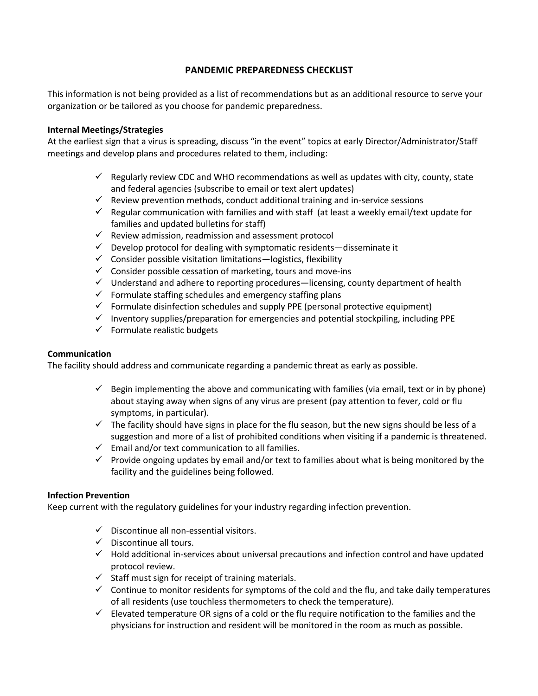# **PANDEMIC PREPAREDNESS CHECKLIST**

This information is not being provided as a list of recommendations but as an additional resource to serve your organization or be tailored as you choose for pandemic preparedness.

### **Internal Meetings/Strategies**

At the earliest sign that a virus is spreading, discuss "in the event" topics at early Director/Administrator/Staff meetings and develop plans and procedures related to them, including:

- $\checkmark$  Regularly review CDC and WHO recommendations as well as updates with city, county, state and federal agencies (subscribe to email or text alert updates)
- $\checkmark$  Review prevention methods, conduct additional training and in-service sessions
- $\checkmark$  Regular communication with families and with staff (at least a weekly email/text update for families and updated bulletins for staff)
- $\checkmark$  Review admission, readmission and assessment protocol
- $\checkmark$  Develop protocol for dealing with symptomatic residents—disseminate it
- $\checkmark$  Consider possible visitation limitations—logistics, flexibility
- $\checkmark$  Consider possible cessation of marketing, tours and move-ins
- $\checkmark$  Understand and adhere to reporting procedures—licensing, county department of health
- $\checkmark$  Formulate staffing schedules and emergency staffing plans
- $\checkmark$  Formulate disinfection schedules and supply PPE (personal protective equipment)
- $\checkmark$  Inventory supplies/preparation for emergencies and potential stockpiling, including PPE
- $\checkmark$  Formulate realistic budgets

#### **Communication**

The facility should address and communicate regarding a pandemic threat as early as possible.

- $\checkmark$  Begin implementing the above and communicating with families (via email, text or in by phone) about staying away when signs of any virus are present (pay attention to fever, cold or flu symptoms, in particular).
- $\checkmark$  The facility should have signs in place for the flu season, but the new signs should be less of a suggestion and more of a list of prohibited conditions when visiting if a pandemic is threatened.
- $\checkmark$  Email and/or text communication to all families.
- $\checkmark$  Provide ongoing updates by email and/or text to families about what is being monitored by the facility and the guidelines being followed.

#### **Infection Prevention**

Keep current with the regulatory guidelines for your industry regarding infection prevention.

- $\checkmark$  Discontinue all non-essential visitors.
- $\checkmark$  Discontinue all tours.
- $\checkmark$  Hold additional in-services about universal precautions and infection control and have updated protocol review.
- $\checkmark$  Staff must sign for receipt of training materials.
- $\checkmark$  Continue to monitor residents for symptoms of the cold and the flu, and take daily temperatures of all residents (use touchless thermometers to check the temperature).
- $\checkmark$  Elevated temperature OR signs of a cold or the flu require notification to the families and the physicians for instruction and resident will be monitored in the room as much as possible.